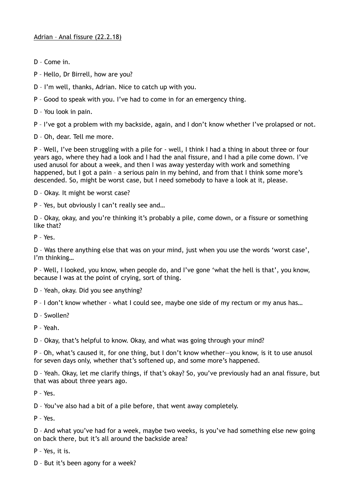- D Come in.
- P Hello, Dr Birrell, how are you?
- D I'm well, thanks, Adrian. Nice to catch up with you.
- P Good to speak with you. I've had to come in for an emergency thing.
- D You look in pain.
- P I've got a problem with my backside, again, and I don't know whether I've prolapsed or not.
- D Oh, dear. Tell me more.

P – Well, I've been struggling with a pile for - well, I think I had a thing in about three or four years ago, where they had a look and I had the anal fissure, and I had a pile come down. I've used anusol for about a week, and then I was away yesterday with work and something happened, but I got a pain - a serious pain in my behind, and from that I think some more's descended. So, might be worst case, but I need somebody to have a look at it, please.

D – Okay. It might be worst case?

P – Yes, but obviously I can't really see and…

D – Okay, okay, and you're thinking it's probably a pile, come down, or a fissure or something like that?

P – Yes.

D – Was there anything else that was on your mind, just when you use the words 'worst case', I'm thinking…

P – Well, I looked, you know, when people do, and I've gone 'what the hell is that', you know, because I was at the point of crying, sort of thing.

- D Yeah, okay. Did you see anything?
- P I don't know whether what I could see, maybe one side of my rectum or my anus has…
- D Swollen?

P – Yeah.

D – Okay, that's helpful to know. Okay, and what was going through your mind?

P – Oh, what's caused it, for one thing, but I don't know whether—you know, is it to use anusol for seven days only, whether that's softened up, and some more's happened.

D – Yeah. Okay, let me clarify things, if that's okay? So, you've previously had an anal fissure, but that was about three years ago.

P – Yes.

D – You've also had a bit of a pile before, that went away completely.

P – Yes.

D – And what you've had for a week, maybe two weeks, is you've had something else new going on back there, but it's all around the backside area?

P – Yes, it is.

D – But it's been agony for a week?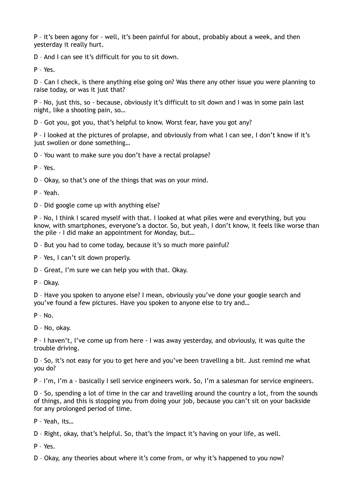P – it's been agony for - well, it's been painful for about, probably about a week, and then yesterday it really hurt.

D – And I can see it's difficult for you to sit down.

P – Yes.

D – Can I check, is there anything else going on? Was there any other issue you were planning to raise today, or was it just that?

P – No, just this, so - because, obviously it's difficult to sit down and I was in some pain last night, like a shooting pain, so…

D – Got you, got you, that's helpful to know. Worst fear, have you got any?

P – I looked at the pictures of prolapse, and obviously from what I can see, I don't know if it's just swollen or done something...

D – You want to make sure you don't have a rectal prolapse?

P – Yes.

D – Okay, so that's one of the things that was on your mind.

P – Yeah.

D – Did google come up with anything else?

P – No, I think I scared myself with that. I looked at what piles were and everything, but you know, with smartphones, everyone's a doctor. So, but yeah, I don't know, it feels like worse than the pile - I did make an appointment for Monday, but…

D – But you had to come today, because it's so much more painful?

P – Yes, I can't sit down properly.

D – Great, I'm sure we can help you with that. Okay.

P – Okay.

D – Have you spoken to anyone else? I mean, obviously you've done your google search and you've found a few pictures. Have you spoken to anyone else to try and…

P – No.

D – No, okay.

P – I haven't, I've come up from here - I was away yesterday, and obviously, it was quite the trouble driving.

D – So, it's not easy for you to get here and you've been travelling a bit. Just remind me what you do?

P – I'm, I'm a - basically I sell service engineers work. So, I'm a salesman for service engineers.

D – So, spending a lot of time in the car and travelling around the country a lot, from the sounds of things, and this is stopping you from doing your job, because you can't sit on your backside for any prolonged period of time.

P – Yeah, its…

D – Right, okay, that's helpful. So, that's the impact it's having on your life, as well.

P – Yes.

D – Okay, any theories about where it's come from, or why it's happened to you now?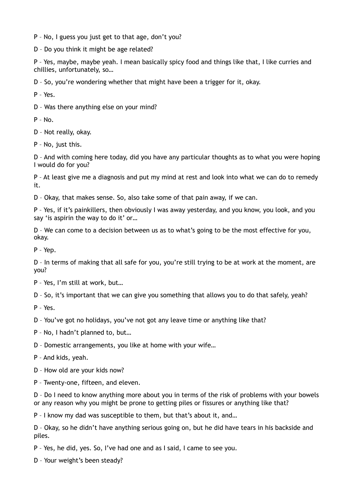P – No, I guess you just get to that age, don't you?

D – Do you think it might be age related?

P – Yes, maybe, maybe yeah. I mean basically spicy food and things like that, I like curries and chillies, unfortunately, so…

D – So, you're wondering whether that might have been a trigger for it, okay.

P – Yes.

D – Was there anything else on your mind?

 $P - No.$ 

D – Not really, okay.

P – No, just this.

D – And with coming here today, did you have any particular thoughts as to what you were hoping I would do for you?

P – At least give me a diagnosis and put my mind at rest and look into what we can do to remedy it.

D – Okay, that makes sense. So, also take some of that pain away, if we can.

P – Yes, if it's painkillers, then obviously I was away yesterday, and you know, you look, and you say 'is aspirin the way to do it' or…

D – We can come to a decision between us as to what's going to be the most effective for you, okay.

P – Yep.

D – In terms of making that all safe for you, you're still trying to be at work at the moment, are you?

P – Yes, I'm still at work, but…

D – So, it's important that we can give you something that allows you to do that safely, yeah?

P – Yes.

D – You've got no holidays, you've not got any leave time or anything like that?

P – No, I hadn't planned to, but…

D – Domestic arrangements, you like at home with your wife…

P – And kids, yeah.

D – How old are your kids now?

P – Twenty-one, fifteen, and eleven.

D – Do I need to know anything more about you in terms of the risk of problems with your bowels or any reason why you might be prone to getting piles or fissures or anything like that?

P – I know my dad was susceptible to them, but that's about it, and…

D – Okay, so he didn't have anything serious going on, but he did have tears in his backside and piles.

P – Yes, he did, yes. So, I've had one and as I said, I came to see you.

D – Your weight's been steady?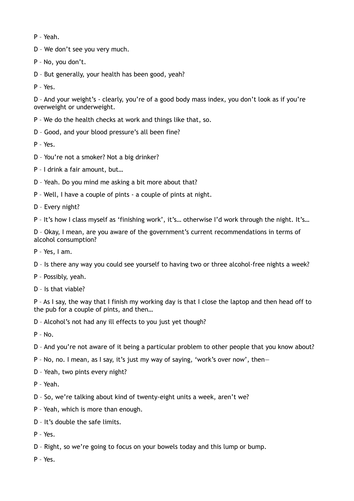P – Yeah.

D – We don't see you very much.

P – No, you don't.

D – But generally, your health has been good, yeah?

P – Yes.

D – And your weight's - clearly, you're of a good body mass index, you don't look as if you're overweight or underweight.

- P We do the health checks at work and things like that, so.
- D Good, and your blood pressure's all been fine?

P – Yes.

- D You're not a smoker? Not a big drinker?
- P I drink a fair amount, but…
- D Yeah. Do you mind me asking a bit more about that?
- P Well, I have a couple of pints a couple of pints at night.
- D Every night?
- P It's how I class myself as 'finishing work', it's... otherwise I'd work through the night. It's...

D – Okay, I mean, are you aware of the government's current recommendations in terms of alcohol consumption?

- P Yes, I am.
- D Is there any way you could see yourself to having two or three alcohol-free nights a week?
- P Possibly, yeah.
- D Is that viable?

P – As I say, the way that I finish my working day is that I close the laptop and then head off to the pub for a couple of pints, and then…

D – Alcohol's not had any ill effects to you just yet though?

 $P - No$ .

- D And you're not aware of it being a particular problem to other people that you know about?
- P No, no. I mean, as I say, it's just my way of saying, 'work's over now', then—
- D Yeah, two pints every night?
- P Yeah.
- D So, we're talking about kind of twenty-eight units a week, aren't we?
- P Yeah, which is more than enough.
- D It's double the safe limits.
- P Yes.
- D Right, so we're going to focus on your bowels today and this lump or bump.
- P Yes.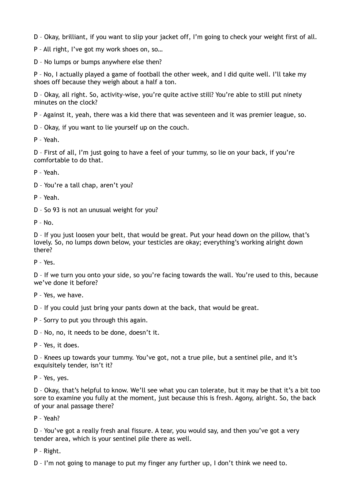D – Okay, brilliant, if you want to slip your jacket off, I'm going to check your weight first of all.

P – All right, I've got my work shoes on, so…

D – No lumps or bumps anywhere else then?

P – No, I actually played a game of football the other week, and I did quite well. I'll take my shoes off because they weigh about a half a ton.

D – Okay, all right. So, activity-wise, you're quite active still? You're able to still put ninety minutes on the clock?

P – Against it, yeah, there was a kid there that was seventeen and it was premier league, so.

D – Okay, if you want to lie yourself up on the couch.

P – Yeah.

D – First of all, I'm just going to have a feel of your tummy, so lie on your back, if you're comfortable to do that.

P – Yeah.

D – You're a tall chap, aren't you?

P – Yeah.

D – So 93 is not an unusual weight for you?

 $P - No$ .

D – If you just loosen your belt, that would be great. Put your head down on the pillow, that's lovely. So, no lumps down below, your testicles are okay; everything's working alright down there?

P – Yes.

D – If we turn you onto your side, so you're facing towards the wall. You're used to this, because we've done it before?

P – Yes, we have.

D – If you could just bring your pants down at the back, that would be great.

P – Sorry to put you through this again.

D – No, no, it needs to be done, doesn't it.

P – Yes, it does.

D – Knees up towards your tummy. You've got, not a true pile, but a sentinel pile, and it's exquisitely tender, isn't it?

P – Yes, yes.

D – Okay, that's helpful to know. We'll see what you can tolerate, but it may be that it's a bit too sore to examine you fully at the moment, just because this is fresh. Agony, alright. So, the back of your anal passage there?

P – Yeah?

D – You've got a really fresh anal fissure. A tear, you would say, and then you've got a very tender area, which is your sentinel pile there as well.

P – Right.

D – I'm not going to manage to put my finger any further up, I don't think we need to.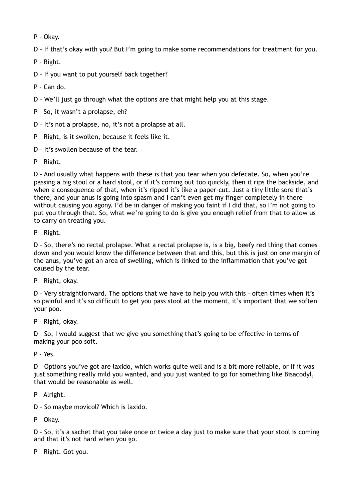P – Okay.

D – If that's okay with you? But I'm going to make some recommendations for treatment for you.

P – Right.

D – If you want to put yourself back together?

P – Can do.

D – We'll just go through what the options are that might help you at this stage.

P – So, it wasn't a prolapse, eh?

D – It's not a prolapse, no, it's not a prolapse at all.

P – Right, is it swollen, because it feels like it.

D – It's swollen because of the tear.

P – Right.

D – And usually what happens with these is that you tear when you defecate. So, when you're passing a big stool or a hard stool, or if it's coming out too quickly, then it rips the backside, and when a consequence of that, when it's ripped it's like a paper-cut. Just a tiny little sore that's there, and your anus is going into spasm and I can't even get my finger completely in there without causing you agony. I'd be in danger of making you faint if I did that, so I'm not going to put you through that. So, what we're going to do is give you enough relief from that to allow us to carry on treating you.

P – Right.

D – So, there's no rectal prolapse. What a rectal prolapse is, is a big, beefy red thing that comes down and you would know the difference between that and this, but this is just on one margin of the anus, you've got an area of swelling, which is linked to the inflammation that you've got caused by the tear.

P – Right, okay.

D – Very straightforward. The options that we have to help you with this – often times when it's so painful and it's so difficult to get you pass stool at the moment, it's important that we soften your poo.

P – Right, okay.

D – So, I would suggest that we give you something that's going to be effective in terms of making your poo soft.

P – Yes.

D – Options you've got are laxido, which works quite well and is a bit more reliable, or if it was just something really mild you wanted, and you just wanted to go for something like Bisacodyl, that would be reasonable as well.

P – Alright.

D – So maybe movicol? Which is laxido.

P – Okay.

D – So, it's a sachet that you take once or twice a day just to make sure that your stool is coming and that it's not hard when you go.

P – Right. Got you.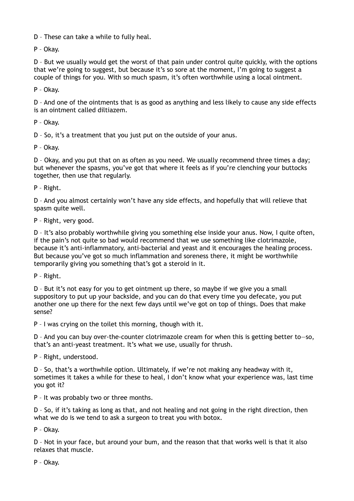D – These can take a while to fully heal.

P – Okay.

D – But we usually would get the worst of that pain under control quite quickly, with the options that we're going to suggest, but because it's so sore at the moment, I'm going to suggest a couple of things for you. With so much spasm, it's often worthwhile using a local ointment.

P – Okay.

D – And one of the ointments that is as good as anything and less likely to cause any side effects is an ointment called diltiazem.

P – Okay.

D – So, it's a treatment that you just put on the outside of your anus.

P – Okay.

D – Okay, and you put that on as often as you need. We usually recommend three times a day; but whenever the spasms, you've got that where it feels as if you're clenching your buttocks together, then use that regularly.

P – Right.

D – And you almost certainly won't have any side effects, and hopefully that will relieve that spasm quite well.

P – Right, very good.

D – It's also probably worthwhile giving you something else inside your anus. Now, I quite often, if the pain's not quite so bad would recommend that we use something like clotrimazole, because it's anti-inflammatory, anti-bacterial and yeast and it encourages the healing process. But because you've got so much inflammation and soreness there, it might be worthwhile temporarily giving you something that's got a steroid in it.

P – Right.

D – But it's not easy for you to get ointment up there, so maybe if we give you a small suppository to put up your backside, and you can do that every time you defecate, you put another one up there for the next few days until we've got on top of things. Does that make sense?

P – I was crying on the toilet this morning, though with it.

D – And you can buy over-the-counter clotrimazole cream for when this is getting better to—so, that's an anti-yeast treatment. It's what we use, usually for thrush.

P – Right, understood.

D – So, that's a worthwhile option. Ultimately, if we're not making any headway with it, sometimes it takes a while for these to heal, I don't know what your experience was, last time you got it?

P – It was probably two or three months.

D – So, if it's taking as long as that, and not healing and not going in the right direction, then what we do is we tend to ask a surgeon to treat you with botox.

P – Okay.

D – Not in your face, but around your bum, and the reason that that works well is that it also relaxes that muscle.

P – Okay.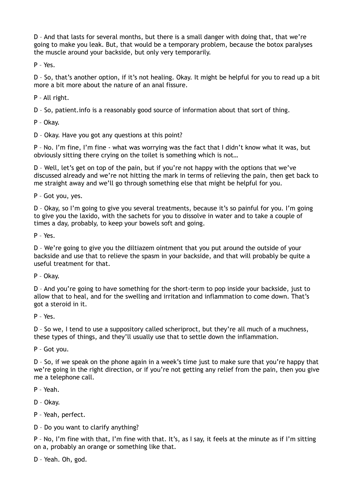D – And that lasts for several months, but there is a small danger with doing that, that we're going to make you leak. But, that would be a temporary problem, because the botox paralyses the muscle around your backside, but only very temporarily.

P – Yes.

D – So, that's another option, if it's not healing. Okay. It might be helpful for you to read up a bit more a bit more about the nature of an anal fissure.

P – All right.

D – So, patient.info is a reasonably good source of information about that sort of thing.

P – Okay.

D – Okay. Have you got any questions at this point?

P – No. I'm fine, I'm fine - what was worrying was the fact that I didn't know what it was, but obviously sitting there crying on the toilet is something which is not…

D – Well, let's get on top of the pain, but if you're not happy with the options that we've discussed already and we're not hitting the mark in terms of relieving the pain, then get back to me straight away and we'll go through something else that might be helpful for you.

P – Got you, yes.

D – Okay, so I'm going to give you several treatments, because it's so painful for you. I'm going to give you the laxido, with the sachets for you to dissolve in water and to take a couple of times a day, probably, to keep your bowels soft and going.

P – Yes.

D – We're going to give you the diltiazem ointment that you put around the outside of your backside and use that to relieve the spasm in your backside, and that will probably be quite a useful treatment for that.

P – Okay.

D – And you're going to have something for the short-term to pop inside your backside, just to allow that to heal, and for the swelling and irritation and inflammation to come down. That's got a steroid in it.

P – Yes.

D – So we, I tend to use a suppository called scheriproct, but they're all much of a muchness, these types of things, and they'll usually use that to settle down the inflammation.

P – Got you.

D – So, if we speak on the phone again in a week's time just to make sure that you're happy that we're going in the right direction, or if you're not getting any relief from the pain, then you give me a telephone call.

P – Yeah.

D – Okay.

P – Yeah, perfect.

D – Do you want to clarify anything?

P – No, I'm fine with that, I'm fine with that. It's, as I say, it feels at the minute as if I'm sitting on a, probably an orange or something like that.

D – Yeah. Oh, god.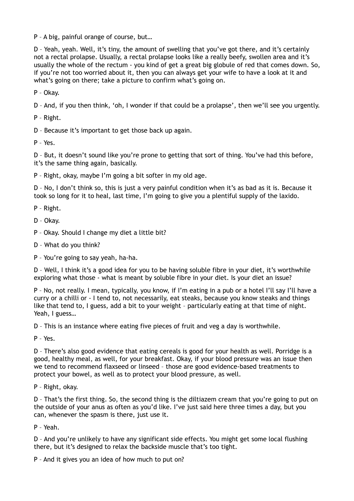P – A big, painful orange of course, but…

D – Yeah, yeah. Well, it's tiny, the amount of swelling that you've got there, and it's certainly not a rectal prolapse. Usually, a rectal prolapse looks like a really beefy, swollen area and it's usually the whole of the rectum - you kind of get a great big globule of red that comes down. So, if you're not too worried about it, then you can always get your wife to have a look at it and what's going on there; take a picture to confirm what's going on.

P – Okay.

D – And, if you then think, 'oh, I wonder if that could be a prolapse', then we'll see you urgently.

P – Right.

D – Because it's important to get those back up again.

P – Yes.

D – But, it doesn't sound like you're prone to getting that sort of thing. You've had this before, it's the same thing again, basically.

P – Right, okay, maybe I'm going a bit softer in my old age.

D – No, I don't think so, this is just a very painful condition when it's as bad as it is. Because it took so long for it to heal, last time, I'm going to give you a plentiful supply of the laxido.

P – Right.

D – Okay.

- P Okay. Should I change my diet a little bit?
- D What do you think?
- P You're going to say yeah, ha-ha.

D – Well, I think it's a good idea for you to be having soluble fibre in your diet, it's worthwhile exploring what those - what is meant by soluble fibre in your diet. Is your diet an issue?

P – No, not really. I mean, typically, you know, if I'm eating in a pub or a hotel I'll say I'll have a curry or a chilli or - I tend to, not necessarily, eat steaks, because you know steaks and things like that tend to, I guess, add a bit to your weight – particularly eating at that time of night. Yeah, I guess…

D – This is an instance where eating five pieces of fruit and veg a day is worthwhile.

P – Yes.

D – There's also good evidence that eating cereals is good for your health as well. Porridge is a good, healthy meal, as well, for your breakfast. Okay, if your blood pressure was an issue then we tend to recommend flaxseed or linseed – those are good evidence-based treatments to protect your bowel, as well as to protect your blood pressure, as well.

P – Right, okay.

D – That's the first thing. So, the second thing is the diltiazem cream that you're going to put on the outside of your anus as often as you'd like. I've just said here three times a day, but you can, whenever the spasm is there, just use it.

P – Yeah.

D – And you're unlikely to have any significant side effects. You might get some local flushing there, but it's designed to relax the backside muscle that's too tight.

P – And it gives you an idea of how much to put on?